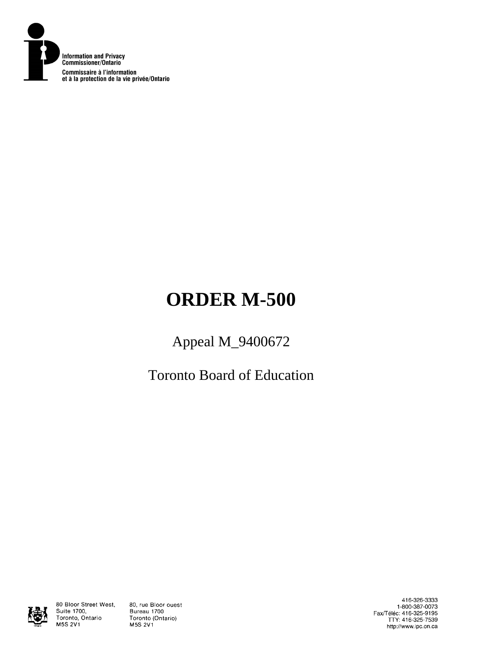

# **ORDER M-500**

# Appeal M\_9400672

Toronto Board of Education



80 Bloor Street West, Suite 1700, Toronto, Ontario M5S 2V1

80, rue Bloor ouest Bureau 1700 Toronto (Ontario) M5S 2V1

416-326-3333 1-800-387-0073<br>Eax/Téléc: 416-325-9195<br>TTY: 416-325-7539 http://www.ipc.on.ca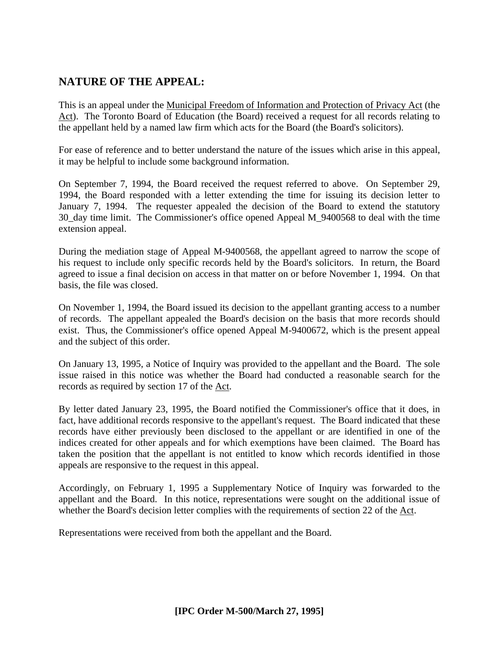# **NATURE OF THE APPEAL:**

This is an appeal under the Municipal Freedom of Information and Protection of Privacy Act (the Act). The Toronto Board of Education (the Board) received a request for all records relating to the appellant held by a named law firm which acts for the Board (the Board's solicitors).

For ease of reference and to better understand the nature of the issues which arise in this appeal, it may be helpful to include some background information.

On September 7, 1994, the Board received the request referred to above. On September 29, 1994, the Board responded with a letter extending the time for issuing its decision letter to January 7, 1994. The requester appealed the decision of the Board to extend the statutory 30\_day time limit. The Commissioner's office opened Appeal M\_9400568 to deal with the time extension appeal.

During the mediation stage of Appeal M-9400568, the appellant agreed to narrow the scope of his request to include only specific records held by the Board's solicitors. In return, the Board agreed to issue a final decision on access in that matter on or before November 1, 1994. On that basis, the file was closed.

On November 1, 1994, the Board issued its decision to the appellant granting access to a number of records. The appellant appealed the Board's decision on the basis that more records should exist. Thus, the Commissioner's office opened Appeal M-9400672, which is the present appeal and the subject of this order.

On January 13, 1995, a Notice of Inquiry was provided to the appellant and the Board. The sole issue raised in this notice was whether the Board had conducted a reasonable search for the records as required by section 17 of the Act.

By letter dated January 23, 1995, the Board notified the Commissioner's office that it does, in fact, have additional records responsive to the appellant's request. The Board indicated that these records have either previously been disclosed to the appellant or are identified in one of the indices created for other appeals and for which exemptions have been claimed. The Board has taken the position that the appellant is not entitled to know which records identified in those appeals are responsive to the request in this appeal.

Accordingly, on February 1, 1995 a Supplementary Notice of Inquiry was forwarded to the appellant and the Board. In this notice, representations were sought on the additional issue of whether the Board's decision letter complies with the requirements of section 22 of the Act.

Representations were received from both the appellant and the Board.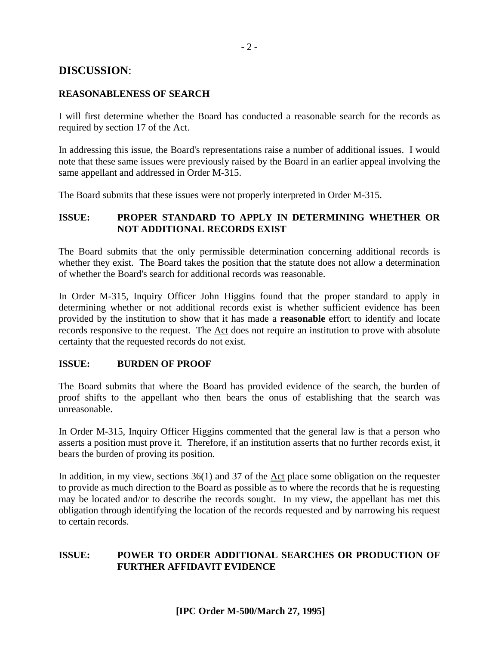### **DISCUSSION**:

#### **REASONABLENESS OF SEARCH**

I will first determine whether the Board has conducted a reasonable search for the records as required by section 17 of the Act.

In addressing this issue, the Board's representations raise a number of additional issues. I would note that these same issues were previously raised by the Board in an earlier appeal involving the same appellant and addressed in Order M-315.

The Board submits that these issues were not properly interpreted in Order M-315.

#### **ISSUE: PROPER STANDARD TO APPLY IN DETERMINING WHETHER OR NOT ADDITIONAL RECORDS EXIST**

The Board submits that the only permissible determination concerning additional records is whether they exist. The Board takes the position that the statute does not allow a determination of whether the Board's search for additional records was reasonable.

In Order M-315, Inquiry Officer John Higgins found that the proper standard to apply in determining whether or not additional records exist is whether sufficient evidence has been provided by the institution to show that it has made a **reasonable** effort to identify and locate records responsive to the request. The Act does not require an institution to prove with absolute certainty that the requested records do not exist.

#### **ISSUE: BURDEN OF PROOF**

The Board submits that where the Board has provided evidence of the search, the burden of proof shifts to the appellant who then bears the onus of establishing that the search was unreasonable.

In Order M-315, Inquiry Officer Higgins commented that the general law is that a person who asserts a position must prove it. Therefore, if an institution asserts that no further records exist, it bears the burden of proving its position.

In addition, in my view, sections 36(1) and 37 of the Act place some obligation on the requester to provide as much direction to the Board as possible as to where the records that he is requesting may be located and/or to describe the records sought. In my view, the appellant has met this obligation through identifying the location of the records requested and by narrowing his request to certain records.

#### **ISSUE: POWER TO ORDER ADDITIONAL SEARCHES OR PRODUCTION OF FURTHER AFFIDAVIT EVIDENCE**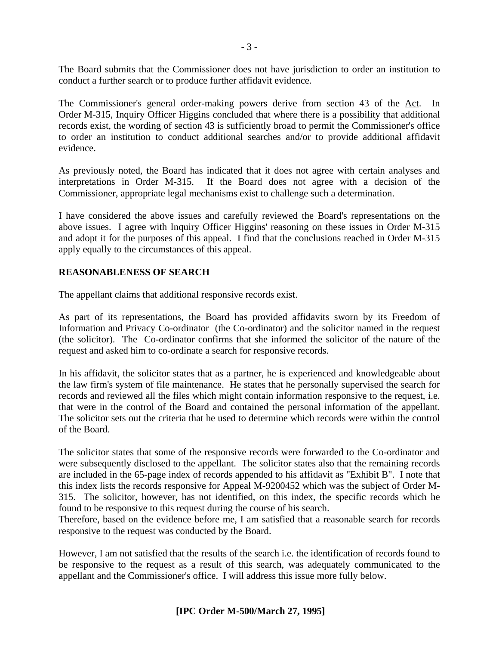The Board submits that the Commissioner does not have jurisdiction to order an institution to conduct a further search or to produce further affidavit evidence.

The Commissioner's general order-making powers derive from section 43 of the Act. In Order M-315, Inquiry Officer Higgins concluded that where there is a possibility that additional records exist, the wording of section 43 is sufficiently broad to permit the Commissioner's office to order an institution to conduct additional searches and/or to provide additional affidavit evidence.

As previously noted, the Board has indicated that it does not agree with certain analyses and interpretations in Order M-315. If the Board does not agree with a decision of the Commissioner, appropriate legal mechanisms exist to challenge such a determination.

I have considered the above issues and carefully reviewed the Board's representations on the above issues. I agree with Inquiry Officer Higgins' reasoning on these issues in Order M-315 and adopt it for the purposes of this appeal. I find that the conclusions reached in Order M-315 apply equally to the circumstances of this appeal.

#### **REASONABLENESS OF SEARCH**

The appellant claims that additional responsive records exist.

As part of its representations, the Board has provided affidavits sworn by its Freedom of Information and Privacy Co-ordinator (the Co-ordinator) and the solicitor named in the request (the solicitor). The Co-ordinator confirms that she informed the solicitor of the nature of the request and asked him to co-ordinate a search for responsive records.

In his affidavit, the solicitor states that as a partner, he is experienced and knowledgeable about the law firm's system of file maintenance. He states that he personally supervised the search for records and reviewed all the files which might contain information responsive to the request, i.e. that were in the control of the Board and contained the personal information of the appellant. The solicitor sets out the criteria that he used to determine which records were within the control of the Board.

The solicitor states that some of the responsive records were forwarded to the Co-ordinator and were subsequently disclosed to the appellant. The solicitor states also that the remaining records are included in the 65-page index of records appended to his affidavit as "Exhibit B". I note that this index lists the records responsive for Appeal M-9200452 which was the subject of Order M-315. The solicitor, however, has not identified, on this index, the specific records which he found to be responsive to this request during the course of his search.

Therefore, based on the evidence before me, I am satisfied that a reasonable search for records responsive to the request was conducted by the Board.

However, I am not satisfied that the results of the search i.e. the identification of records found to be responsive to the request as a result of this search, was adequately communicated to the appellant and the Commissioner's office. I will address this issue more fully below.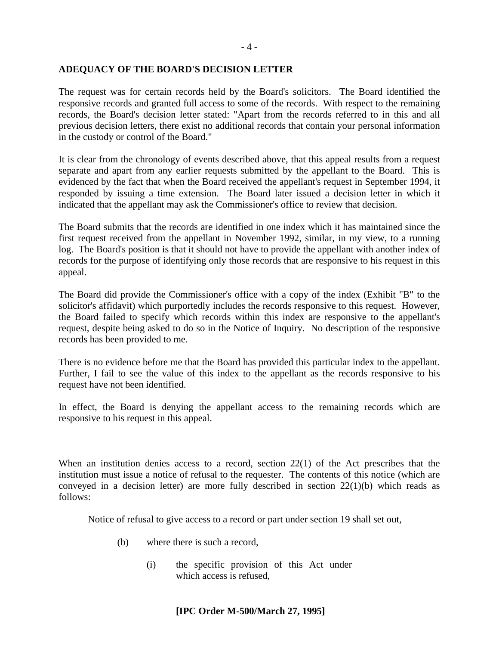#### **ADEQUACY OF THE BOARD'S DECISION LETTER**

The request was for certain records held by the Board's solicitors. The Board identified the responsive records and granted full access to some of the records. With respect to the remaining records, the Board's decision letter stated: "Apart from the records referred to in this and all previous decision letters, there exist no additional records that contain your personal information in the custody or control of the Board."

It is clear from the chronology of events described above, that this appeal results from a request separate and apart from any earlier requests submitted by the appellant to the Board. This is evidenced by the fact that when the Board received the appellant's request in September 1994, it responded by issuing a time extension. The Board later issued a decision letter in which it indicated that the appellant may ask the Commissioner's office to review that decision.

The Board submits that the records are identified in one index which it has maintained since the first request received from the appellant in November 1992, similar, in my view, to a running log. The Board's position is that it should not have to provide the appellant with another index of records for the purpose of identifying only those records that are responsive to his request in this appeal.

The Board did provide the Commissioner's office with a copy of the index (Exhibit "B" to the solicitor's affidavit) which purportedly includes the records responsive to this request. However, the Board failed to specify which records within this index are responsive to the appellant's request, despite being asked to do so in the Notice of Inquiry. No description of the responsive records has been provided to me.

There is no evidence before me that the Board has provided this particular index to the appellant. Further, I fail to see the value of this index to the appellant as the records responsive to his request have not been identified.

In effect, the Board is denying the appellant access to the remaining records which are responsive to his request in this appeal.

When an institution denies access to a record, section 22(1) of the Act prescribes that the institution must issue a notice of refusal to the requester. The contents of this notice (which are conveyed in a decision letter) are more fully described in section 22(1)(b) which reads as follows:

Notice of refusal to give access to a record or part under section 19 shall set out,

- (b) where there is such a record,
	- (i) the specific provision of this Act under which access is refused,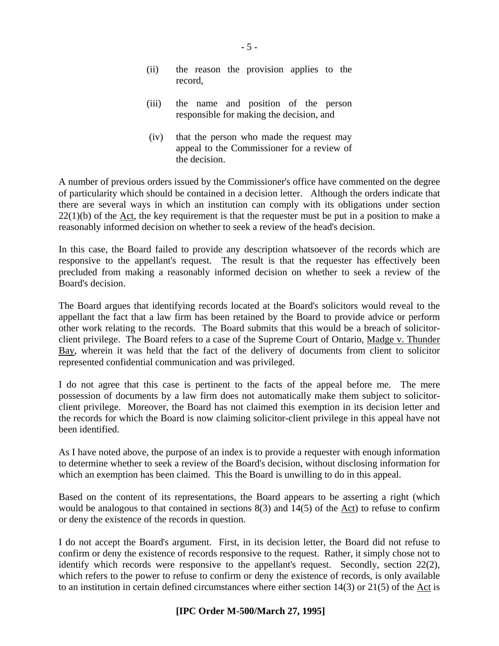- (ii) the reason the provision applies to the record,
- (iii) the name and position of the person responsible for making the decision, and
- (iv) that the person who made the request may appeal to the Commissioner for a review of the decision.

A number of previous orders issued by the Commissioner's office have commented on the degree of particularity which should be contained in a decision letter. Although the orders indicate that there are several ways in which an institution can comply with its obligations under section  $22(1)(b)$  of the Act, the key requirement is that the requester must be put in a position to make a reasonably informed decision on whether to seek a review of the head's decision.

In this case, the Board failed to provide any description whatsoever of the records which are responsive to the appellant's request. The result is that the requester has effectively been precluded from making a reasonably informed decision on whether to seek a review of the Board's decision.

The Board argues that identifying records located at the Board's solicitors would reveal to the appellant the fact that a law firm has been retained by the Board to provide advice or perform other work relating to the records. The Board submits that this would be a breach of solicitorclient privilege. The Board refers to a case of the Supreme Court of Ontario, Madge v. Thunder Bay, wherein it was held that the fact of the delivery of documents from client to solicitor represented confidential communication and was privileged.

I do not agree that this case is pertinent to the facts of the appeal before me. The mere possession of documents by a law firm does not automatically make them subject to solicitorclient privilege. Moreover, the Board has not claimed this exemption in its decision letter and the records for which the Board is now claiming solicitor-client privilege in this appeal have not been identified.

As I have noted above, the purpose of an index is to provide a requester with enough information to determine whether to seek a review of the Board's decision, without disclosing information for which an exemption has been claimed. This the Board is unwilling to do in this appeal.

Based on the content of its representations, the Board appears to be asserting a right (which would be analogous to that contained in sections 8(3) and 14(5) of the Act) to refuse to confirm or deny the existence of the records in question.

I do not accept the Board's argument. First, in its decision letter, the Board did not refuse to confirm or deny the existence of records responsive to the request. Rather, it simply chose not to identify which records were responsive to the appellant's request. Secondly, section 22(2), which refers to the power to refuse to confirm or deny the existence of records, is only available to an institution in certain defined circumstances where either section  $14(3)$  or  $21(5)$  of the Act is

#### **[IPC Order M-500/March 27, 1995]**